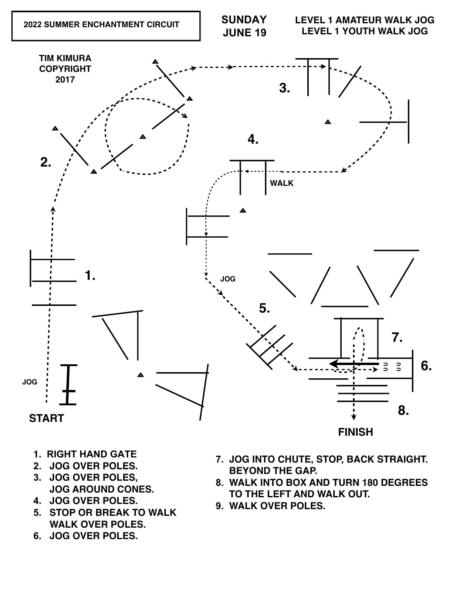## **START**

## **FINISH**

- **1. RIGHT HAND GATE**
- **2. JOG OVER POLES.**
- **3. JOG OVER POLES, JOG AROUND CONES.**
- **4. JOG OVER POLES.**
- **5. STOP OR BREAK TO WALK WALK OVER POLES.**
- **6. JOG OVER POLES.**
- **7. JOG INTO CHUTE, STOP, BACK STRAIGHT. BEYOND THE GAP.**
- **8. WALK INTO BOX AND TURN 180 DEGREES TO THE LEFT AND WALK OUT.**
- **9. WALK OVER POLES.**

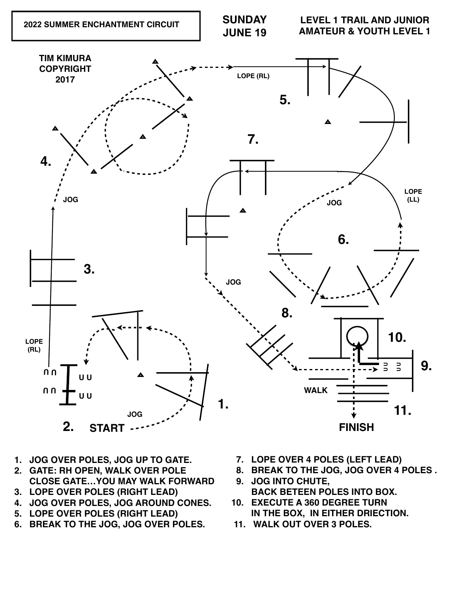



- **1. JOG OVER POLES, JOG UP TO GATE.**
- **2. GATE: RH OPEN, WALK OVER POLE CLOSE GATE…YOU MAY WALK FORWARD**
- **3. LOPE OVER POLES (RIGHT LEAD)**
- **4. JOG OVER POLES, JOG AROUND CONES.**
- **5. LOPE OVER POLES (RIGHT LEAD)**
- **6. BREAK TO THE JOG, JOG OVER POLES.**
- **7. LOPE OVER 4 POLES (LEFT LEAD)**
- **8. BREAK TO THE JOG, JOG OVER 4 POLES .**
- **9. JOG INTO CHUTE, BACK BETEEN POLES INTO BOX.**
- **10. EXECUTE A 360 DEGREE TURN IN THE BOX, IN EITHER DRIECTION.**
- **11. WALK OUT OVER 3 POLES.**

**11.**